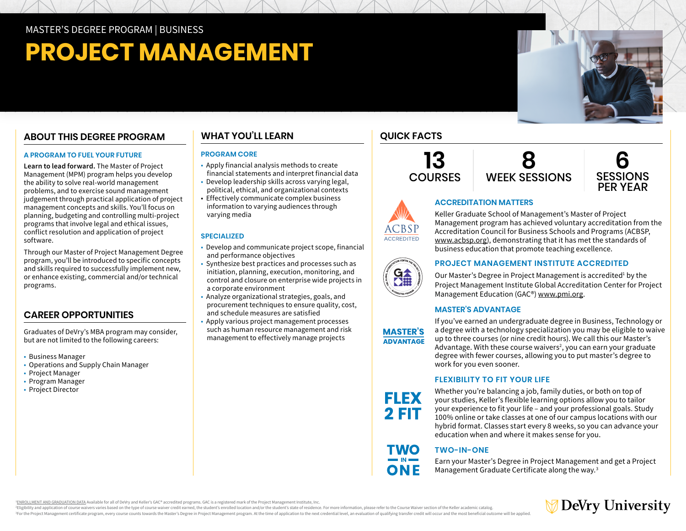# **PROJECT MANAGEMENT**

# **ABOUT THIS DEGREE PROGRAM**

#### **A PROGRAM TO FUEL YOUR FUTURE**

**Learn to lead forward.** The Master of Project Management (MPM) program helps you develop the ability to solve real-world management problems, and to exercise sound management judgement through practical application of project management concepts and skills. You'll focus on planning, budgeting and controlling multi-project programs that involve legal and ethical issues, conflict resolution and application of project software.

Through our Master of Project Management Degree program, you'll be introduced to specific concepts and skills required to successfully implement new, or enhance existing, commercial and/or technical programs.

# **CAREER OPPORTUNITIES**

Graduates of DeVry's MBA program may consider, but are not limited to the following careers:

- Business Manager
- Operations and Supply Chain Manager
- Project Manager
- Program Manager
- Project Director

# **WHAT YOU'LL LEARN**

#### **PROGRAM CORE**

- Apply financial analysis methods to create financial statements and interpret financial data
- Develop leadership skills across varying legal, political, ethical, and organizational contexts
- Effectively communicate complex business information to varying audiences through varying media

# **SPECIALIZED**

- Develop and communicate project scope, financial and performance objectives
- Synthesize best practices and processes such as initiation, planning, execution, monitoring, and control and closure on enterprise wide projects in a corporate environment
- Analyze organizational strategies, goals, and procurement techniques to ensure quality, cost, and schedule measures are satisfied
- Apply various project management processes such as human resource management and risk management to effectively manage projects

# **QUICK FACTS**

**13 COURSES 8** WEEK SESSIONS



## **ACCREDITATION MATTERS**

Keller Graduate School of Management's Master of Project Management program has achieved voluntary accreditation from the Accreditation Council for Business Schools and Programs (ACBSP, [www.acbsp.org](https://www.acbsp.org)), demonstrating that it has met the standards of business education that promote teaching excellence.



ACCREDITED

## **PROJECT MANAGEMENT INSTITUTE ACCREDITED**

Our Master's Degree in Project Management is accredited<sup>1</sup> by the Project Management Institute Global Accreditation Center for Project Management Education (GAC®) [www.pmi.org](https://www.pmi.org).

## **MASTER'S ADVANTAGE**

**MASTER'S ADVANTAGE** 

**FLEX** 2 FIT

TWO

If you've earned an undergraduate degree in Business, Technology or a degree with a technology specialization you may be eligible to waive up to three courses (or nine credit hours). We call this our Master's Advantage. With these course waivers<sup>2</sup>, you can earn your graduate degree with fewer courses, allowing you to put master's degree to work for you even sooner.

# **FLEXIBILITY TO FIT YOUR LIFE**

Whether you're balancing a job, family duties, or both on top of your studies, Keller's flexible learning options allow you to tailor your experience to fit your life – and your professional goals. Study 100% online or take classes at one of our campus locations with our hybrid format. Classes start every 8 weeks, so you can advance your education when and where it makes sense for you.

# **TWO-IN-ONE**

Earn your Master's Degree in Project Management and get a Project Management Graduate Certificate along the way.3

<sup>1</sup>[ENROLLMENT AND GRADUATION DATA](https://www.devry.edu/d/PMI-GAC-data.pdf) Available for all of DeVry and Keller's GAC® accredited programs. GAC is a registered mark of the Project Management Institute, Inc.

Eligibility and application of course waivers varies based on the type of course waiver credit earned, the student's enrolled location and/or the student's state of residence. For more information, please refer to the Cour For the Project Management certificate program, every course counts towards the Master's Degree in Project Management program. At the time of application to the next credential level, an evaluation of qualifying transfer c